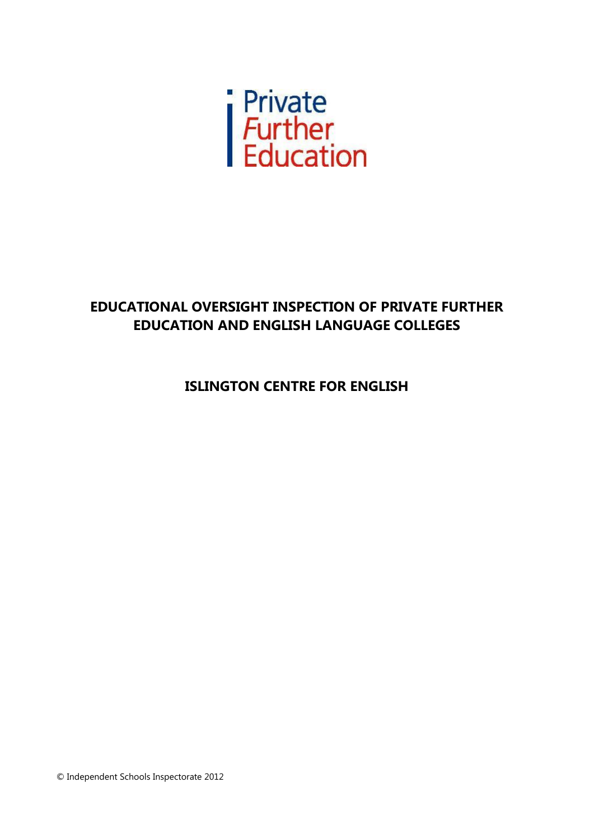

# **EDUCATIONAL OVERSIGHT INSPECTION OF PRIVATE FURTHER EDUCATION AND ENGLISH LANGUAGE COLLEGES**

**ISLINGTON CENTRE FOR ENGLISH**

© Independent Schools Inspectorate 2012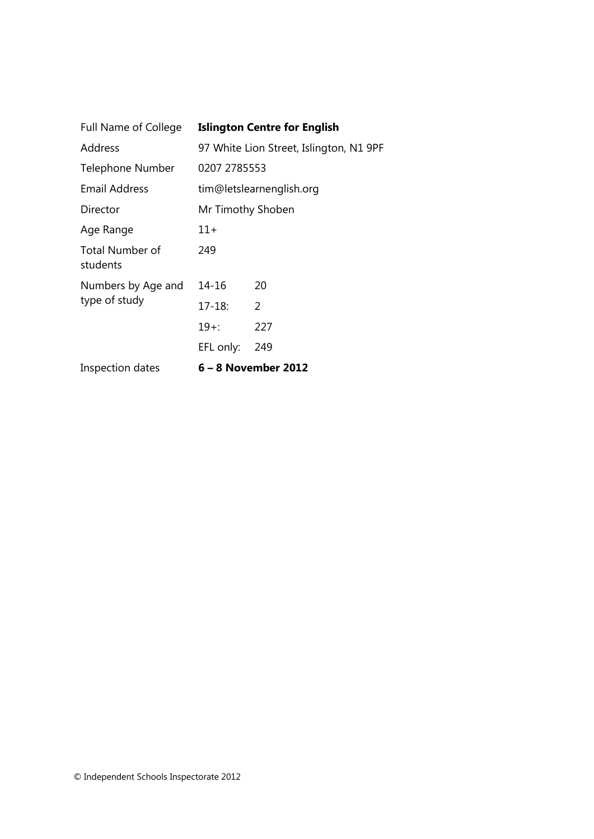| <b>Full Name of College</b>        | <b>Islington Centre for English</b>     |     |  |
|------------------------------------|-----------------------------------------|-----|--|
| Address                            | 97 White Lion Street, Islington, N1 9PF |     |  |
| Telephone Number                   | 0207 2785553                            |     |  |
| Email Address                      | tim@letslearnenglish.org                |     |  |
| Director                           | Mr Timothy Shoben                       |     |  |
| Age Range                          | 11+                                     |     |  |
| <b>Total Number of</b><br>students | 249                                     |     |  |
| Numbers by Age and                 | 14-16                                   | 20  |  |
| type of study                      | $17 - 18:$                              | 2   |  |
|                                    | $19+$ :                                 | 227 |  |
|                                    | EFL only:                               | 249 |  |
| Inspection dates                   | 6 – 8 November 2012                     |     |  |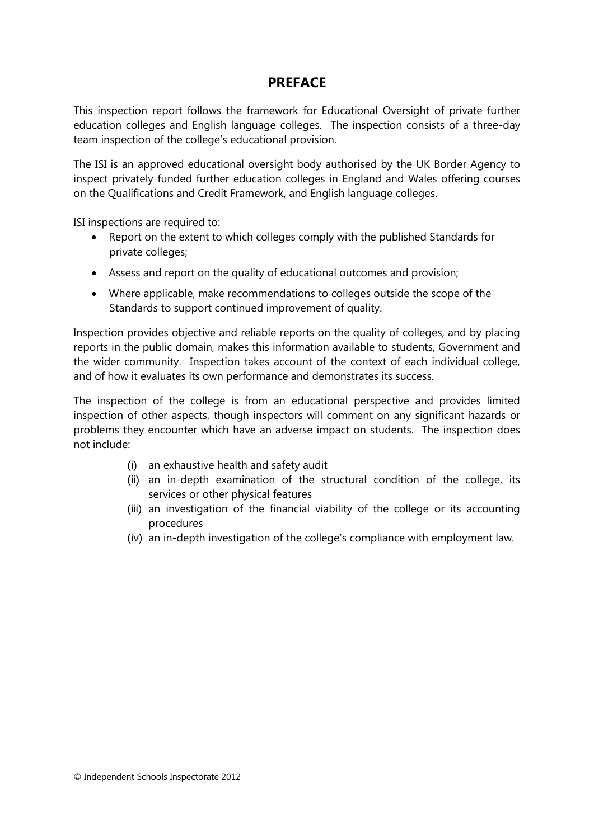# **PREFACE**

This inspection report follows the framework for Educational Oversight of private further education colleges and English language colleges. The inspection consists of a three-day team inspection of the college's educational provision.

The ISI is an approved educational oversight body authorised by the UK Border Agency to inspect privately funded further education colleges in England and Wales offering courses on the Qualifications and Credit Framework, and English language colleges.

ISI inspections are required to:

- Report on the extent to which colleges comply with the published Standards for private colleges;
- Assess and report on the quality of educational outcomes and provision;
- Where applicable, make recommendations to colleges outside the scope of the Standards to support continued improvement of quality.

Inspection provides objective and reliable reports on the quality of colleges, and by placing reports in the public domain, makes this information available to students, Government and the wider community. Inspection takes account of the context of each individual college, and of how it evaluates its own performance and demonstrates its success.

The inspection of the college is from an educational perspective and provides limited inspection of other aspects, though inspectors will comment on any significant hazards or problems they encounter which have an adverse impact on students. The inspection does not include:

- (i) an exhaustive health and safety audit
- (ii) an in-depth examination of the structural condition of the college, its services or other physical features
- (iii) an investigation of the financial viability of the college or its accounting procedures
- (iv) an in-depth investigation of the college's compliance with employment law.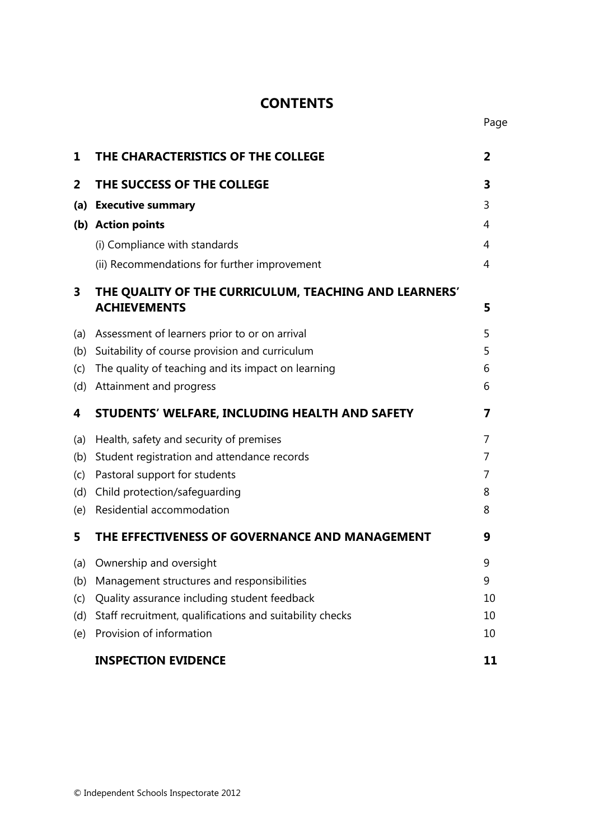# **CONTENTS**

| 1   | THE CHARACTERISTICS OF THE COLLEGE                                           |    |
|-----|------------------------------------------------------------------------------|----|
| 2   | THE SUCCESS OF THE COLLEGE                                                   | 3  |
|     | (a) Executive summary                                                        | 3  |
|     | (b) Action points                                                            | 4  |
|     | (i) Compliance with standards                                                | 4  |
|     | (ii) Recommendations for further improvement                                 | 4  |
| 3   | THE QUALITY OF THE CURRICULUM, TEACHING AND LEARNERS'<br><b>ACHIEVEMENTS</b> | 5  |
| (a) | Assessment of learners prior to or on arrival                                | 5  |
| (b) | Suitability of course provision and curriculum                               | 5  |
| (c) | The quality of teaching and its impact on learning                           | 6  |
| (d) | Attainment and progress                                                      | 6  |
| 4   | STUDENTS' WELFARE, INCLUDING HEALTH AND SAFETY                               | 7  |
| (a) | Health, safety and security of premises                                      | 7  |
| (b) | Student registration and attendance records                                  | 7  |
| (c) | Pastoral support for students                                                | 7  |
| (d) | Child protection/safeguarding                                                | 8  |
| (e) | Residential accommodation                                                    | 8  |
| 5   | THE EFFECTIVENESS OF GOVERNANCE AND MANAGEMENT                               | 9  |
| (a) | Ownership and oversight                                                      | 9  |
| (b) | Management structures and responsibilities                                   | 9  |
| (c) | Quality assurance including student feedback                                 | 10 |
| (d) | Staff recruitment, qualifications and suitability checks                     | 10 |
| (e) | Provision of information                                                     | 10 |
|     | <b>INSPECTION EVIDENCE</b>                                                   | 11 |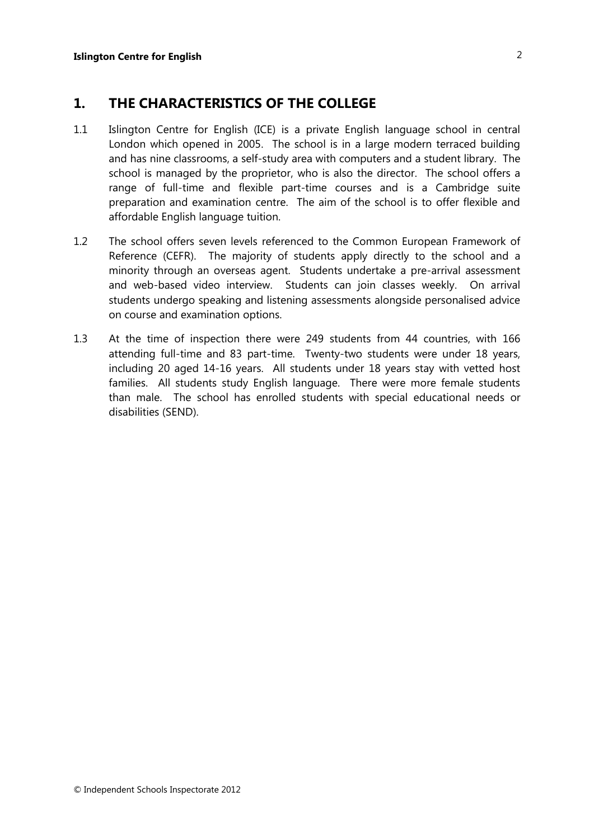# **1. THE CHARACTERISTICS OF THE COLLEGE**

- 1.1 Islington Centre for English (ICE) is a private English language school in central London which opened in 2005. The school is in a large modern terraced building and has nine classrooms, a self-study area with computers and a student library. The school is managed by the proprietor, who is also the director. The school offers a range of full-time and flexible part-time courses and is a Cambridge suite preparation and examination centre. The aim of the school is to offer flexible and affordable English language tuition.
- 1.2 The school offers seven levels referenced to the Common European Framework of Reference (CEFR). The majority of students apply directly to the school and a minority through an overseas agent. Students undertake a pre-arrival assessment and web-based video interview. Students can join classes weekly. On arrival students undergo speaking and listening assessments alongside personalised advice on course and examination options.
- 1.3 At the time of inspection there were 249 students from 44 countries, with 166 attending full-time and 83 part-time. Twenty-two students were under 18 years, including 20 aged 14-16 years. All students under 18 years stay with vetted host families. All students study English language. There were more female students than male. The school has enrolled students with special educational needs or disabilities (SEND).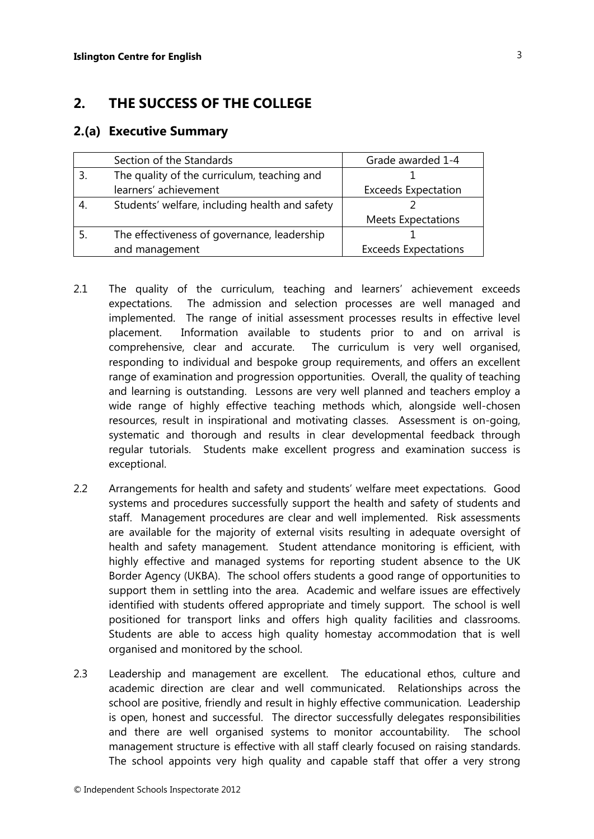# **2. THE SUCCESS OF THE COLLEGE**

#### **2.(a) Executive Summary**

| Section of the Standards                       | Grade awarded 1-4           |
|------------------------------------------------|-----------------------------|
| The quality of the curriculum, teaching and    |                             |
| learners' achievement                          | <b>Exceeds Expectation</b>  |
| Students' welfare, including health and safety |                             |
|                                                | <b>Meets Expectations</b>   |
| The effectiveness of governance, leadership    |                             |
| and management                                 | <b>Exceeds Expectations</b> |

- 2.1 The quality of the curriculum, teaching and learners' achievement exceeds expectations. The admission and selection processes are well managed and implemented. The range of initial assessment processes results in effective level placement. Information available to students prior to and on arrival is comprehensive, clear and accurate. The curriculum is very well organised, responding to individual and bespoke group requirements, and offers an excellent range of examination and progression opportunities. Overall, the quality of teaching and learning is outstanding. Lessons are very well planned and teachers employ a wide range of highly effective teaching methods which, alongside well-chosen resources, result in inspirational and motivating classes. Assessment is on-going, systematic and thorough and results in clear developmental feedback through regular tutorials. Students make excellent progress and examination success is exceptional.
- 2.2 Arrangements for health and safety and students' welfare meet expectations. Good systems and procedures successfully support the health and safety of students and staff. Management procedures are clear and well implemented. Risk assessments are available for the majority of external visits resulting in adequate oversight of health and safety management. Student attendance monitoring is efficient, with highly effective and managed systems for reporting student absence to the UK Border Agency (UKBA). The school offers students a good range of opportunities to support them in settling into the area. Academic and welfare issues are effectively identified with students offered appropriate and timely support. The school is well positioned for transport links and offers high quality facilities and classrooms. Students are able to access high quality homestay accommodation that is well organised and monitored by the school.
- 2.3 Leadership and management are excellent. The educational ethos, culture and academic direction are clear and well communicated. Relationships across the school are positive, friendly and result in highly effective communication. Leadership is open, honest and successful. The director successfully delegates responsibilities and there are well organised systems to monitor accountability. The school management structure is effective with all staff clearly focused on raising standards. The school appoints very high quality and capable staff that offer a very strong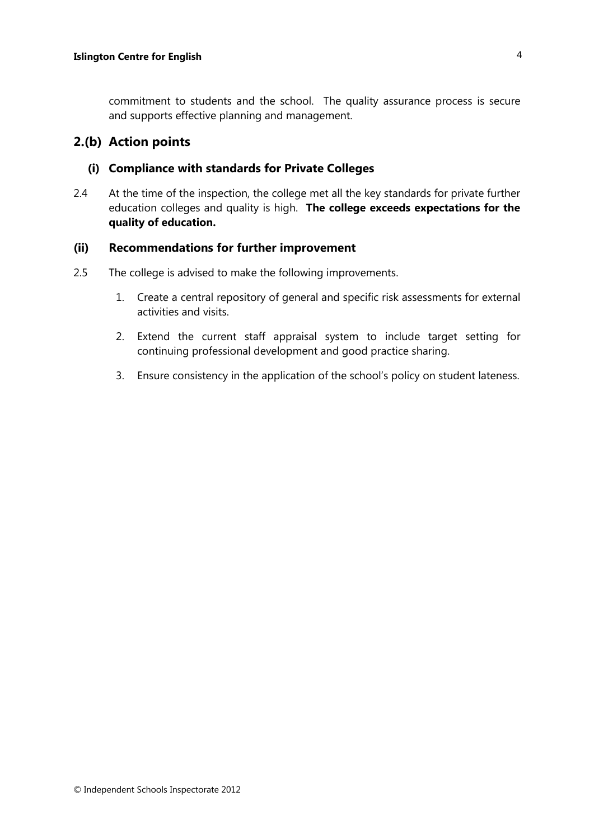commitment to students and the school. The quality assurance process is secure and supports effective planning and management.

#### **2.(b) Action points**

#### **(i) Compliance with standards for Private Colleges**

2.4 At the time of the inspection, the college met all the key standards for private further education colleges and quality is high. **The college exceeds expectations for the quality of education.** 

#### **(ii) Recommendations for further improvement**

- 2.5 The college is advised to make the following improvements.
	- 1. Create a central repository of general and specific risk assessments for external activities and visits.
	- 2. Extend the current staff appraisal system to include target setting for continuing professional development and good practice sharing.
	- 3. Ensure consistency in the application of the school's policy on student lateness.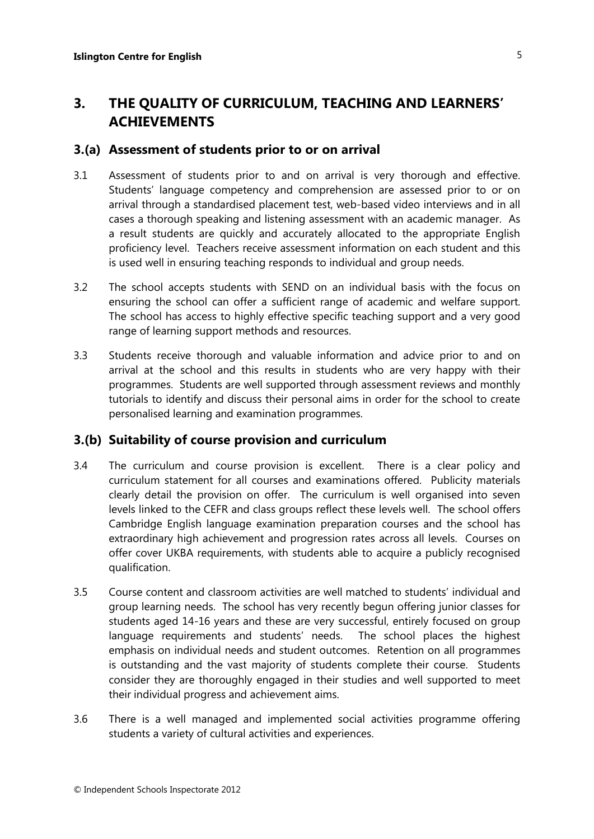# **3. THE QUALITY OF CURRICULUM, TEACHING AND LEARNERS' ACHIEVEMENTS**

#### **3.(a) Assessment of students prior to or on arrival**

- 3.1 Assessment of students prior to and on arrival is very thorough and effective. Students' language competency and comprehension are assessed prior to or on arrival through a standardised placement test, web-based video interviews and in all cases a thorough speaking and listening assessment with an academic manager. As a result students are quickly and accurately allocated to the appropriate English proficiency level. Teachers receive assessment information on each student and this is used well in ensuring teaching responds to individual and group needs.
- 3.2 The school accepts students with SEND on an individual basis with the focus on ensuring the school can offer a sufficient range of academic and welfare support. The school has access to highly effective specific teaching support and a very good range of learning support methods and resources.
- 3.3 Students receive thorough and valuable information and advice prior to and on arrival at the school and this results in students who are very happy with their programmes. Students are well supported through assessment reviews and monthly tutorials to identify and discuss their personal aims in order for the school to create personalised learning and examination programmes.

### **3.(b) Suitability of course provision and curriculum**

- 3.4 The curriculum and course provision is excellent. There is a clear policy and curriculum statement for all courses and examinations offered. Publicity materials clearly detail the provision on offer. The curriculum is well organised into seven levels linked to the CEFR and class groups reflect these levels well. The school offers Cambridge English language examination preparation courses and the school has extraordinary high achievement and progression rates across all levels. Courses on offer cover UKBA requirements, with students able to acquire a publicly recognised qualification.
- 3.5 Course content and classroom activities are well matched to students' individual and group learning needs. The school has very recently begun offering junior classes for students aged 14-16 years and these are very successful, entirely focused on group language requirements and students' needs. The school places the highest emphasis on individual needs and student outcomes. Retention on all programmes is outstanding and the vast majority of students complete their course. Students consider they are thoroughly engaged in their studies and well supported to meet their individual progress and achievement aims.
- 3.6 There is a well managed and implemented social activities programme offering students a variety of cultural activities and experiences.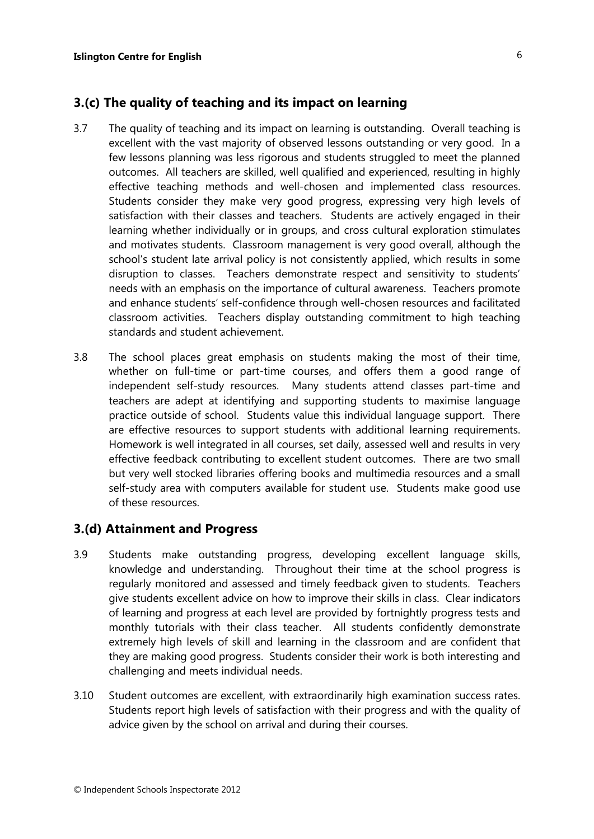# **3.(c) The quality of teaching and its impact on learning**

- 3.7 The quality of teaching and its impact on learning is outstanding. Overall teaching is excellent with the vast majority of observed lessons outstanding or very good. In a few lessons planning was less rigorous and students struggled to meet the planned outcomes. All teachers are skilled, well qualified and experienced, resulting in highly effective teaching methods and well-chosen and implemented class resources. Students consider they make very good progress, expressing very high levels of satisfaction with their classes and teachers. Students are actively engaged in their learning whether individually or in groups, and cross cultural exploration stimulates and motivates students. Classroom management is very good overall, although the school's student late arrival policy is not consistently applied, which results in some disruption to classes. Teachers demonstrate respect and sensitivity to students' needs with an emphasis on the importance of cultural awareness. Teachers promote and enhance students' self-confidence through well-chosen resources and facilitated classroom activities. Teachers display outstanding commitment to high teaching standards and student achievement.
- 3.8 The school places great emphasis on students making the most of their time, whether on full-time or part-time courses, and offers them a good range of independent self-study resources. Many students attend classes part-time and teachers are adept at identifying and supporting students to maximise language practice outside of school. Students value this individual language support. There are effective resources to support students with additional learning requirements. Homework is well integrated in all courses, set daily, assessed well and results in very effective feedback contributing to excellent student outcomes. There are two small but very well stocked libraries offering books and multimedia resources and a small self-study area with computers available for student use. Students make good use of these resources.

### **3.(d) Attainment and Progress**

- 3.9 Students make outstanding progress, developing excellent language skills, knowledge and understanding. Throughout their time at the school progress is regularly monitored and assessed and timely feedback given to students. Teachers give students excellent advice on how to improve their skills in class. Clear indicators of learning and progress at each level are provided by fortnightly progress tests and monthly tutorials with their class teacher. All students confidently demonstrate extremely high levels of skill and learning in the classroom and are confident that they are making good progress. Students consider their work is both interesting and challenging and meets individual needs.
- 3.10 Student outcomes are excellent, with extraordinarily high examination success rates. Students report high levels of satisfaction with their progress and with the quality of advice given by the school on arrival and during their courses.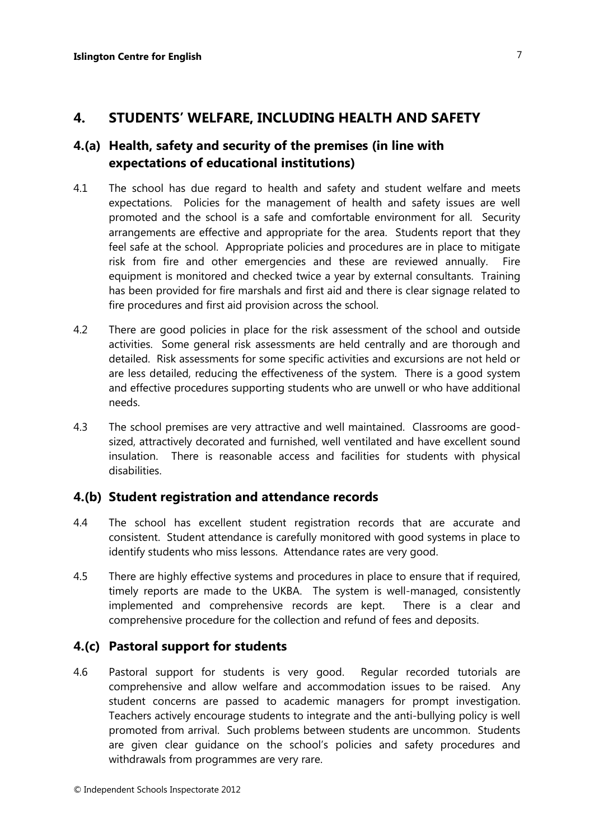## **4. STUDENTS' WELFARE, INCLUDING HEALTH AND SAFETY**

# **4.(a) Health, safety and security of the premises (in line with expectations of educational institutions)**

- 4.1 The school has due regard to health and safety and student welfare and meets expectations. Policies for the management of health and safety issues are well promoted and the school is a safe and comfortable environment for all. Security arrangements are effective and appropriate for the area. Students report that they feel safe at the school. Appropriate policies and procedures are in place to mitigate risk from fire and other emergencies and these are reviewed annually. Fire equipment is monitored and checked twice a year by external consultants. Training has been provided for fire marshals and first aid and there is clear signage related to fire procedures and first aid provision across the school.
- 4.2 There are good policies in place for the risk assessment of the school and outside activities. Some general risk assessments are held centrally and are thorough and detailed. Risk assessments for some specific activities and excursions are not held or are less detailed, reducing the effectiveness of the system. There is a good system and effective procedures supporting students who are unwell or who have additional needs.
- 4.3 The school premises are very attractive and well maintained. Classrooms are goodsized, attractively decorated and furnished, well ventilated and have excellent sound insulation. There is reasonable access and facilities for students with physical disabilities.

### **4.(b) Student registration and attendance records**

- 4.4 The school has excellent student registration records that are accurate and consistent. Student attendance is carefully monitored with good systems in place to identify students who miss lessons. Attendance rates are very good.
- 4.5 There are highly effective systems and procedures in place to ensure that if required, timely reports are made to the UKBA. The system is well-managed, consistently implemented and comprehensive records are kept. There is a clear and comprehensive procedure for the collection and refund of fees and deposits.

### **4.(c) Pastoral support for students**

4.6 Pastoral support for students is very good. Regular recorded tutorials are comprehensive and allow welfare and accommodation issues to be raised. Any student concerns are passed to academic managers for prompt investigation. Teachers actively encourage students to integrate and the anti-bullying policy is well promoted from arrival. Such problems between students are uncommon. Students are given clear guidance on the school's policies and safety procedures and withdrawals from programmes are very rare.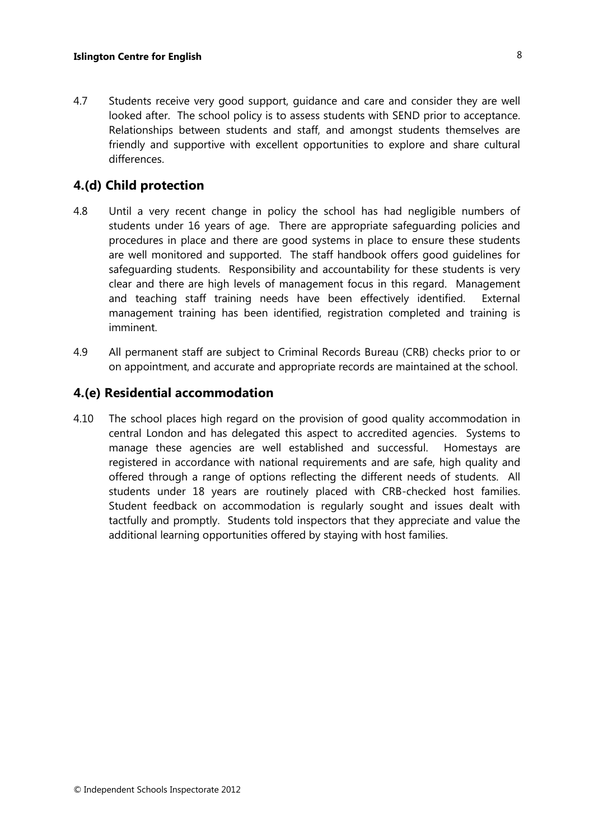4.7 Students receive very good support, guidance and care and consider they are well looked after. The school policy is to assess students with SEND prior to acceptance. Relationships between students and staff, and amongst students themselves are friendly and supportive with excellent opportunities to explore and share cultural differences.

### **4.(d) Child protection**

- 4.8 Until a very recent change in policy the school has had negligible numbers of students under 16 years of age. There are appropriate safeguarding policies and procedures in place and there are good systems in place to ensure these students are well monitored and supported. The staff handbook offers good guidelines for safeguarding students. Responsibility and accountability for these students is very clear and there are high levels of management focus in this regard. Management and teaching staff training needs have been effectively identified. External management training has been identified, registration completed and training is imminent.
- 4.9 All permanent staff are subject to Criminal Records Bureau (CRB) checks prior to or on appointment, and accurate and appropriate records are maintained at the school.

#### **4.(e) Residential accommodation**

4.10 The school places high regard on the provision of good quality accommodation in central London and has delegated this aspect to accredited agencies. Systems to manage these agencies are well established and successful. Homestays are registered in accordance with national requirements and are safe, high quality and offered through a range of options reflecting the different needs of students. All students under 18 years are routinely placed with CRB-checked host families. Student feedback on accommodation is regularly sought and issues dealt with tactfully and promptly. Students told inspectors that they appreciate and value the additional learning opportunities offered by staying with host families.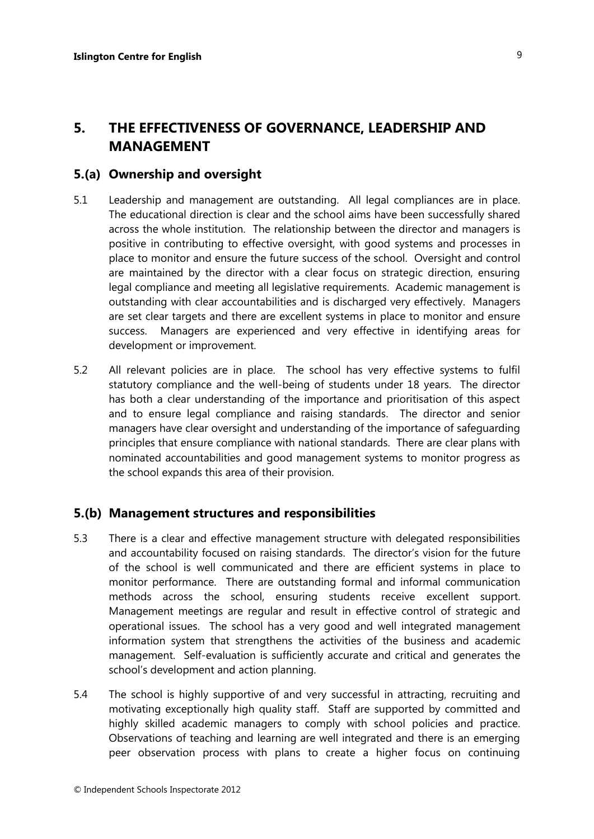# **5. THE EFFECTIVENESS OF GOVERNANCE, LEADERSHIP AND MANAGEMENT**

#### **5.(a) Ownership and oversight**

- 5.1 Leadership and management are outstanding. All legal compliances are in place. The educational direction is clear and the school aims have been successfully shared across the whole institution. The relationship between the director and managers is positive in contributing to effective oversight, with good systems and processes in place to monitor and ensure the future success of the school. Oversight and control are maintained by the director with a clear focus on strategic direction, ensuring legal compliance and meeting all legislative requirements. Academic management is outstanding with clear accountabilities and is discharged very effectively. Managers are set clear targets and there are excellent systems in place to monitor and ensure success. Managers are experienced and very effective in identifying areas for development or improvement.
- 5.2 All relevant policies are in place. The school has very effective systems to fulfil statutory compliance and the well-being of students under 18 years. The director has both a clear understanding of the importance and prioritisation of this aspect and to ensure legal compliance and raising standards. The director and senior managers have clear oversight and understanding of the importance of safeguarding principles that ensure compliance with national standards. There are clear plans with nominated accountabilities and good management systems to monitor progress as the school expands this area of their provision.

#### **5.(b) Management structures and responsibilities**

- 5.3 There is a clear and effective management structure with delegated responsibilities and accountability focused on raising standards. The director's vision for the future of the school is well communicated and there are efficient systems in place to monitor performance. There are outstanding formal and informal communication methods across the school, ensuring students receive excellent support. Management meetings are regular and result in effective control of strategic and operational issues. The school has a very good and well integrated management information system that strengthens the activities of the business and academic management. Self-evaluation is sufficiently accurate and critical and generates the school's development and action planning.
- 5.4 The school is highly supportive of and very successful in attracting, recruiting and motivating exceptionally high quality staff. Staff are supported by committed and highly skilled academic managers to comply with school policies and practice. Observations of teaching and learning are well integrated and there is an emerging peer observation process with plans to create a higher focus on continuing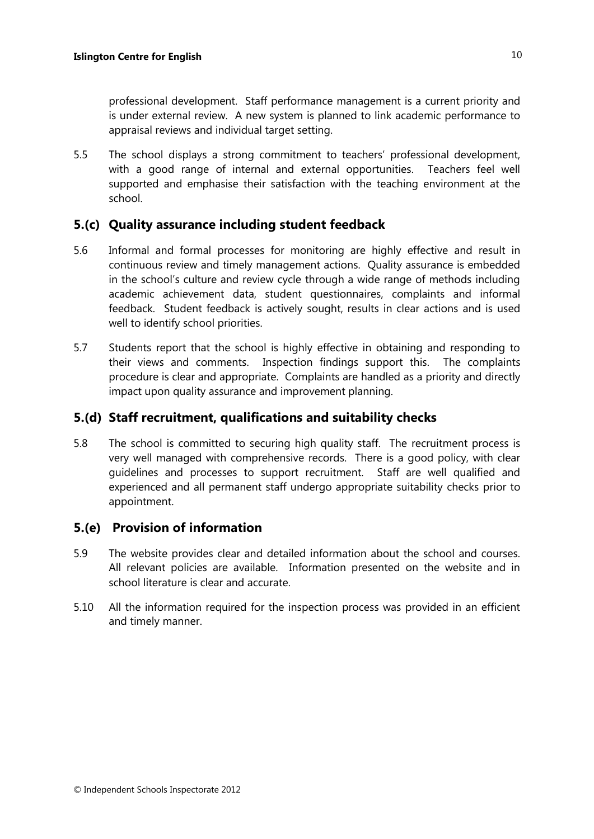professional development. Staff performance management is a current priority and is under external review. A new system is planned to link academic performance to appraisal reviews and individual target setting.

5.5 The school displays a strong commitment to teachers' professional development, with a good range of internal and external opportunities. Teachers feel well supported and emphasise their satisfaction with the teaching environment at the school.

# **5.(c) Quality assurance including student feedback**

- 5.6 Informal and formal processes for monitoring are highly effective and result in continuous review and timely management actions. Quality assurance is embedded in the school's culture and review cycle through a wide range of methods including academic achievement data, student questionnaires, complaints and informal feedback. Student feedback is actively sought, results in clear actions and is used well to identify school priorities.
- 5.7 Students report that the school is highly effective in obtaining and responding to their views and comments. Inspection findings support this. The complaints procedure is clear and appropriate. Complaints are handled as a priority and directly impact upon quality assurance and improvement planning.

## **5.(d) Staff recruitment, qualifications and suitability checks**

5.8 The school is committed to securing high quality staff. The recruitment process is very well managed with comprehensive records. There is a good policy, with clear guidelines and processes to support recruitment. Staff are well qualified and experienced and all permanent staff undergo appropriate suitability checks prior to appointment.

## **5.(e) Provision of information**

- 5.9 The website provides clear and detailed information about the school and courses. All relevant policies are available. Information presented on the website and in school literature is clear and accurate.
- 5.10 All the information required for the inspection process was provided in an efficient and timely manner.